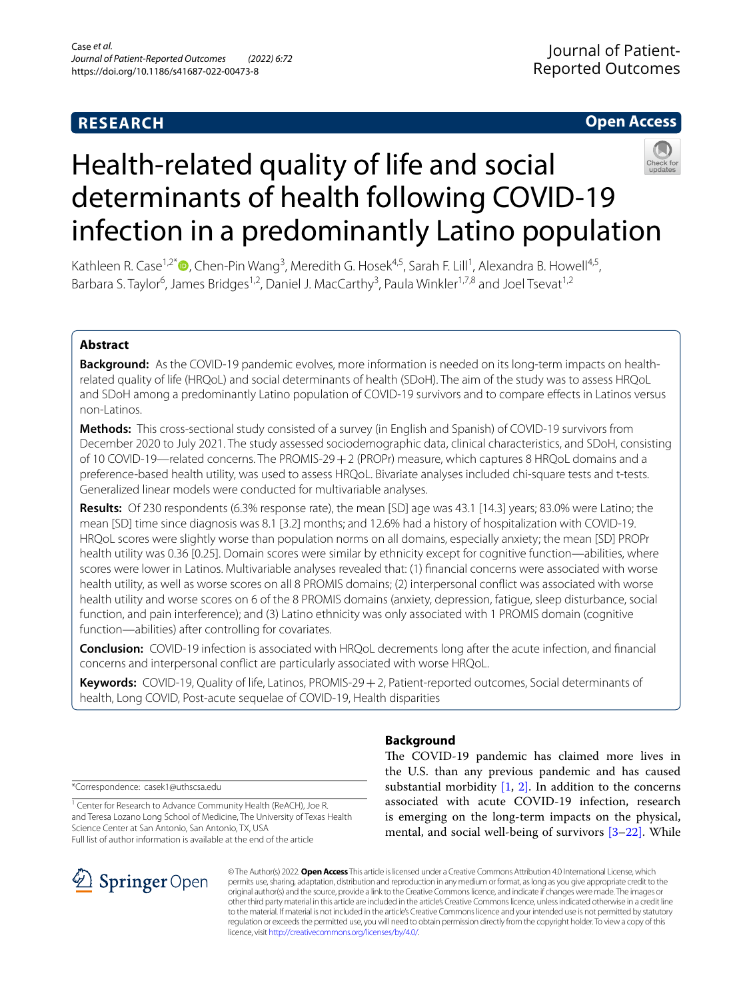# **RESEARCH**

# **Open Access**



# Health-related quality of life and social determinants of health following COVID-19 infection in a predominantly Latino population

Kathleen R. Case<sup>1,2[\\*](http://orcid.org/0000-0001-6240-4922)</sup> <sup>(1,25</sup>), Chen-Pin Wang<sup>3</sup>, Meredith G. Hosek<sup>4,5</sup>, Sarah F. Lill<sup>1</sup>, Alexandra B. Howell<sup>4,5</sup>, Barbara S. Taylor<sup>6</sup>, James Bridges<sup>1,2</sup>, Daniel J. MacCarthy<sup>3</sup>, Paula Winkler<sup>1,7,8</sup> and Joel Tsevat<sup>1,2</sup>

# **Abstract**

**Background:** As the COVID-19 pandemic evolves, more information is needed on its long-term impacts on healthrelated quality of life (HRQoL) and social determinants of health (SDoH). The aim of the study was to assess HRQoL and SDoH among a predominantly Latino population of COVID-19 survivors and to compare efects in Latinos versus non-Latinos.

**Methods:** This cross-sectional study consisted of a survey (in English and Spanish) of COVID-19 survivors from December 2020 to July 2021. The study assessed sociodemographic data, clinical characteristics, and SDoH, consisting of 10 COVID-19—related concerns. The PROMIS-29+2 (PROPr) measure, which captures 8 HRQoL domains and a preference-based health utility, was used to assess HRQoL. Bivariate analyses included chi-square tests and t-tests. Generalized linear models were conducted for multivariable analyses.

**Results:** Of 230 respondents (6.3% response rate), the mean [SD] age was 43.1 [14.3] years; 83.0% were Latino; the mean [SD] time since diagnosis was 8.1 [3.2] months; and 12.6% had a history of hospitalization with COVID-19. HRQoL scores were slightly worse than population norms on all domains, especially anxiety; the mean [SD] PROPr health utility was 0.36 [0.25]. Domain scores were similar by ethnicity except for cognitive function—abilities, where scores were lower in Latinos. Multivariable analyses revealed that: (1) fnancial concerns were associated with worse health utility, as well as worse scores on all 8 PROMIS domains; (2) interpersonal confict was associated with worse health utility and worse scores on 6 of the 8 PROMIS domains (anxiety, depression, fatigue, sleep disturbance, social function, and pain interference); and (3) Latino ethnicity was only associated with 1 PROMIS domain (cognitive function—abilities) after controlling for covariates.

**Conclusion:** COVID-19 infection is associated with HRQoL decrements long after the acute infection, and fnancial concerns and interpersonal confict are particularly associated with worse HRQoL.

**Keywords:** COVID-19, Quality of life, Latinos, PROMIS-29+2, Patient-reported outcomes, Social determinants of health, Long COVID, Post-acute sequelae of COVID-19, Health disparities

\*Correspondence: casek1@uthscsa.edu

<sup>1</sup> Center for Research to Advance Community Health (ReACH), Joe R. and Teresa Lozano Long School of Medicine, The University of Texas Health Science Center at San Antonio, San Antonio, TX, USA Full list of author information is available at the end of the article



# **Background**

The COVID-19 pandemic has claimed more lives in the U.S. than any previous pandemic and has caused substantial morbidity  $[1, 2]$  $[1, 2]$  $[1, 2]$ . In addition to the concerns associated with acute COVID-19 infection, research is emerging on the long-term impacts on the physical, mental, and social well-being of survivors [\[3](#page-7-2)[–22\]](#page-8-0). While

© The Author(s) 2022. **Open Access** This article is licensed under a Creative Commons Attribution 4.0 International License, which permits use, sharing, adaptation, distribution and reproduction in any medium or format, as long as you give appropriate credit to the original author(s) and the source, provide a link to the Creative Commons licence, and indicate if changes were made. The images or other third party material in this article are included in the article's Creative Commons licence, unless indicated otherwise in a credit line to the material. If material is not included in the article's Creative Commons licence and your intended use is not permitted by statutory regulation or exceeds the permitted use, you will need to obtain permission directly from the copyright holder. To view a copy of this licence, visit [http://creativecommons.org/licenses/by/4.0/.](http://creativecommons.org/licenses/by/4.0/)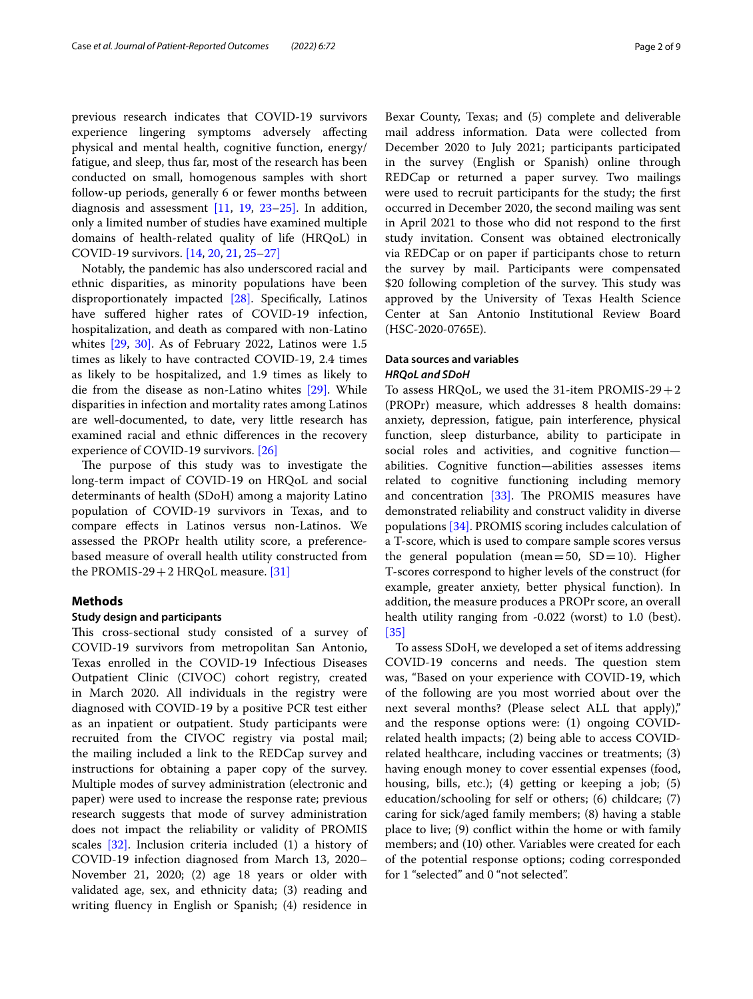previous research indicates that COVID-19 survivors experience lingering symptoms adversely afecting physical and mental health, cognitive function, energy/ fatigue, and sleep, thus far, most of the research has been conducted on small, homogenous samples with short follow-up periods, generally 6 or fewer months between diagnosis and assessment [\[11](#page-8-1), [19,](#page-8-2) [23](#page-8-1)[–25\]](#page-8-3). In addition, only a limited number of studies have examined multiple domains of health-related quality of life (HRQoL) in COVID-19 survivors. [\[14,](#page-8-4) [20](#page-8-5), [21,](#page-8-6) [25](#page-8-4)–[27\]](#page-8-7)

Notably, the pandemic has also underscored racial and ethnic disparities, as minority populations have been disproportionately impacted [\[28\]](#page-8-8). Specifcally, Latinos have suffered higher rates of COVID-19 infection, hospitalization, and death as compared with non-Latino whites [\[29](#page-8-9), [30\].](#page-8-10) As of February 2022, Latinos were 1.5 times as likely to have contracted COVID-19, 2.4 times as likely to be hospitalized, and 1.9 times as likely to die from the disease as non-Latino whites [\[29\].](#page-8-9) While disparities in infection and mortality rates among Latinos are well-documented, to date, very little research has examined racial and ethnic diferences in the recovery experience of COVID-19 survivors. [\[26\]](#page-8-11)

The purpose of this study was to investigate the long-term impact of COVID-19 on HRQoL and social determinants of health (SDoH) among a majority Latino population of COVID-19 survivors in Texas, and to compare efects in Latinos versus non-Latinos. We assessed the PROPr health utility score, a preferencebased measure of overall health utility constructed from the PROMIS-29  $+$  2 HRQoL measure. [\[31\]](#page-8-12)

## **Methods**

#### **Study design and participants**

This cross-sectional study consisted of a survey of COVID-19 survivors from metropolitan San Antonio, Texas enrolled in the COVID-19 Infectious Diseases Outpatient Clinic (CIVOC) cohort registry, created in March 2020. All individuals in the registry were diagnosed with COVID-19 by a positive PCR test either as an inpatient or outpatient. Study participants were recruited from the CIVOC registry via postal mail; the mailing included a link to the REDCap survey and instructions for obtaining a paper copy of the survey. Multiple modes of survey administration (electronic and paper) were used to increase the response rate; previous research suggests that mode of survey administration does not impact the reliability or validity of PROMIS scales [\[32\]](#page-8-13). Inclusion criteria included (1) a history of COVID-19 infection diagnosed from March 13, 2020– November 21, 2020; (2) age 18 years or older with validated age, sex, and ethnicity data; (3) reading and writing fuency in English or Spanish; (4) residence in

Bexar County, Texas; and (5) complete and deliverable mail address information. Data were collected from December 2020 to July 2021; participants participated in the survey (English or Spanish) online through REDCap or returned a paper survey. Two mailings were used to recruit participants for the study; the frst occurred in December 2020, the second mailing was sent in April 2021 to those who did not respond to the frst study invitation. Consent was obtained electronically via REDCap or on paper if participants chose to return the survey by mail. Participants were compensated \$20 following completion of the survey. This study was approved by the University of Texas Health Science Center at San Antonio Institutional Review Board (HSC-2020-0765E).

# **Data sources and variables** *HRQoL and SDoH*

To assess HRQoL, we used the 31-item PROMIS-29 $+2$ (PROPr) measure, which addresses 8 health domains: anxiety, depression, fatigue, pain interference, physical function, sleep disturbance, ability to participate in social roles and activities, and cognitive function abilities. Cognitive function—abilities assesses items related to cognitive functioning including memory and concentration  $[33]$ . The PROMIS measures have demonstrated reliability and construct validity in diverse populations [\[34\].](#page-8-15) PROMIS scoring includes calculation of a T-score, which is used to compare sample scores versus the general population (mean=50,  $SD=10$ ). Higher T-scores correspond to higher levels of the construct (for example, greater anxiety, better physical function). In addition, the measure produces a PROPr score, an overall health utility ranging from -0.022 (worst) to 1.0 (best). [\[35\]](#page-8-16)

To assess SDoH, we developed a set of items addressing COVID-19 concerns and needs. The question stem was, "Based on your experience with COVID-19, which of the following are you most worried about over the next several months? (Please select ALL that apply)," and the response options were: (1) ongoing COVIDrelated health impacts; (2) being able to access COVIDrelated healthcare, including vaccines or treatments; (3) having enough money to cover essential expenses (food, housing, bills, etc.); (4) getting or keeping a job; (5) education/schooling for self or others; (6) childcare; (7) caring for sick/aged family members; (8) having a stable place to live; (9) confict within the home or with family members; and (10) other. Variables were created for each of the potential response options; coding corresponded for 1 "selected" and 0 "not selected".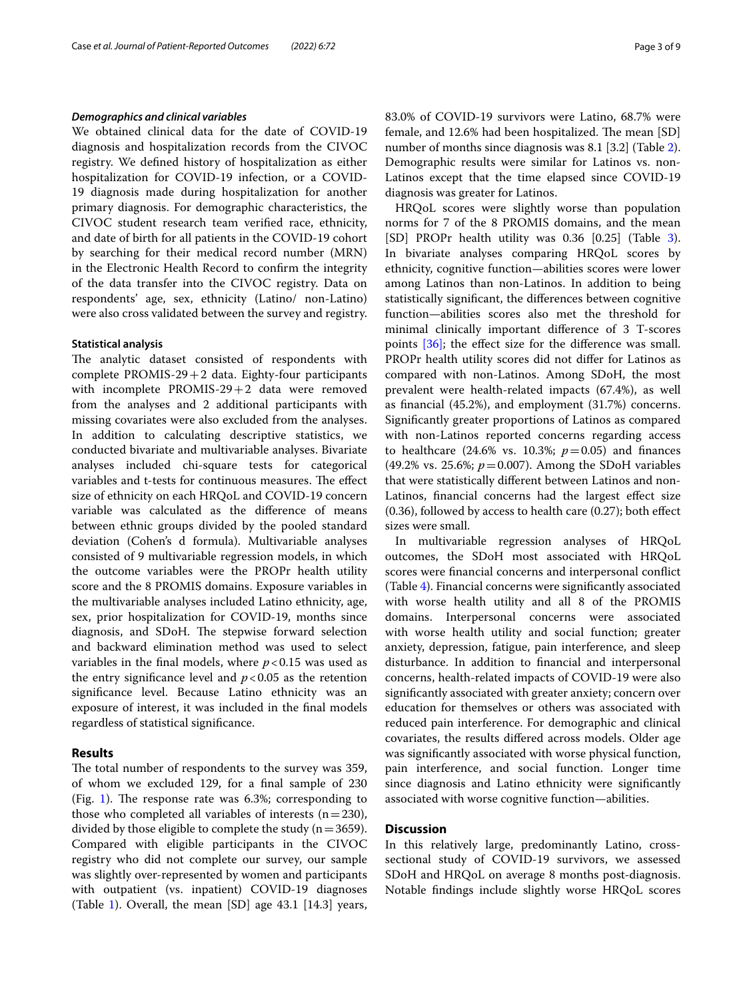## *Demographics and clinical variables*

We obtained clinical data for the date of COVID-19 diagnosis and hospitalization records from the CIVOC registry. We defned history of hospitalization as either hospitalization for COVID-19 infection, or a COVID-19 diagnosis made during hospitalization for another primary diagnosis. For demographic characteristics, the CIVOC student research team verifed race, ethnicity, and date of birth for all patients in the COVID-19 cohort by searching for their medical record number (MRN) in the Electronic Health Record to confrm the integrity of the data transfer into the CIVOC registry. Data on respondents' age, sex, ethnicity (Latino/ non-Latino) were also cross validated between the survey and registry.

## **Statistical analysis**

The analytic dataset consisted of respondents with complete PROMIS-29 $+2$  data. Eighty-four participants with incomplete PROMIS-29+2 data were removed from the analyses and 2 additional participants with missing covariates were also excluded from the analyses. In addition to calculating descriptive statistics, we conducted bivariate and multivariable analyses. Bivariate analyses included chi-square tests for categorical variables and t-tests for continuous measures. The effect size of ethnicity on each HRQoL and COVID-19 concern variable was calculated as the diference of means between ethnic groups divided by the pooled standard deviation (Cohen's d formula). Multivariable analyses consisted of 9 multivariable regression models, in which the outcome variables were the PROPr health utility score and the 8 PROMIS domains. Exposure variables in the multivariable analyses included Latino ethnicity, age, sex, prior hospitalization for COVID-19, months since diagnosis, and SDoH. The stepwise forward selection and backward elimination method was used to select variables in the final models, where  $p < 0.15$  was used as the entry significance level and  $p < 0.05$  as the retention signifcance level. Because Latino ethnicity was an exposure of interest, it was included in the fnal models regardless of statistical signifcance.

# **Results**

The total number of respondents to the survey was 359, of whom we excluded 129, for a fnal sample of 230 (Fig. [1\)](#page-3-0). The response rate was  $6.3\%$ ; corresponding to those who completed all variables of interests  $(n=230)$ , divided by those eligible to complete the study  $(n=3659)$ . Compared with eligible participants in the CIVOC registry who did not complete our survey, our sample was slightly over-represented by women and participants with outpatient (vs. inpatient) COVID-19 diagnoses (Table [1\)](#page-4-0). Overall, the mean [SD] age 43.1 [14.3] years, 83.0% of COVID-19 survivors were Latino, 68.7% were female, and 12.6% had been hospitalized. The mean [SD] number of months since diagnosis was 8.1 [3.2] (Table [2](#page-4-1)). Demographic results were similar for Latinos vs. non-Latinos except that the time elapsed since COVID-19 diagnosis was greater for Latinos.

HRQoL scores were slightly worse than population norms for 7 of the 8 PROMIS domains, and the mean [SD] PROPr health utility was 0.36 [0.25] (Table [3](#page-4-2)). In bivariate analyses comparing HRQoL scores by ethnicity, cognitive function—abilities scores were lower among Latinos than non-Latinos. In addition to being statistically signifcant, the diferences between cognitive function—abilities scores also met the threshold for minimal clinically important diference of 3 T-scores points  $[36]$ ; the effect size for the difference was small. PROPr health utility scores did not difer for Latinos as compared with non-Latinos. Among SDoH, the most prevalent were health-related impacts (67.4%), as well as fnancial (45.2%), and employment (31.7%) concerns. Signifcantly greater proportions of Latinos as compared with non-Latinos reported concerns regarding access to healthcare  $(24.6\% \text{ vs. } 10.3\%; p=0.05)$  and finances (49.2% vs. 25.6%;  $p = 0.007$ ). Among the SDoH variables that were statistically diferent between Latinos and non-Latinos, financial concerns had the largest effect size (0.36), followed by access to health care (0.27); both efect sizes were small.

In multivariable regression analyses of HRQoL outcomes, the SDoH most associated with HRQoL scores were fnancial concerns and interpersonal confict (Table [4](#page-5-0)). Financial concerns were signifcantly associated with worse health utility and all 8 of the PROMIS domains. Interpersonal concerns were associated with worse health utility and social function; greater anxiety, depression, fatigue, pain interference, and sleep disturbance. In addition to fnancial and interpersonal concerns, health-related impacts of COVID-19 were also signifcantly associated with greater anxiety; concern over education for themselves or others was associated with reduced pain interference. For demographic and clinical covariates, the results difered across models. Older age was signifcantly associated with worse physical function, pain interference, and social function. Longer time since diagnosis and Latino ethnicity were signifcantly associated with worse cognitive function—abilities.

# **Discussion**

In this relatively large, predominantly Latino, crosssectional study of COVID-19 survivors, we assessed SDoH and HRQoL on average 8 months post-diagnosis. Notable fndings include slightly worse HRQoL scores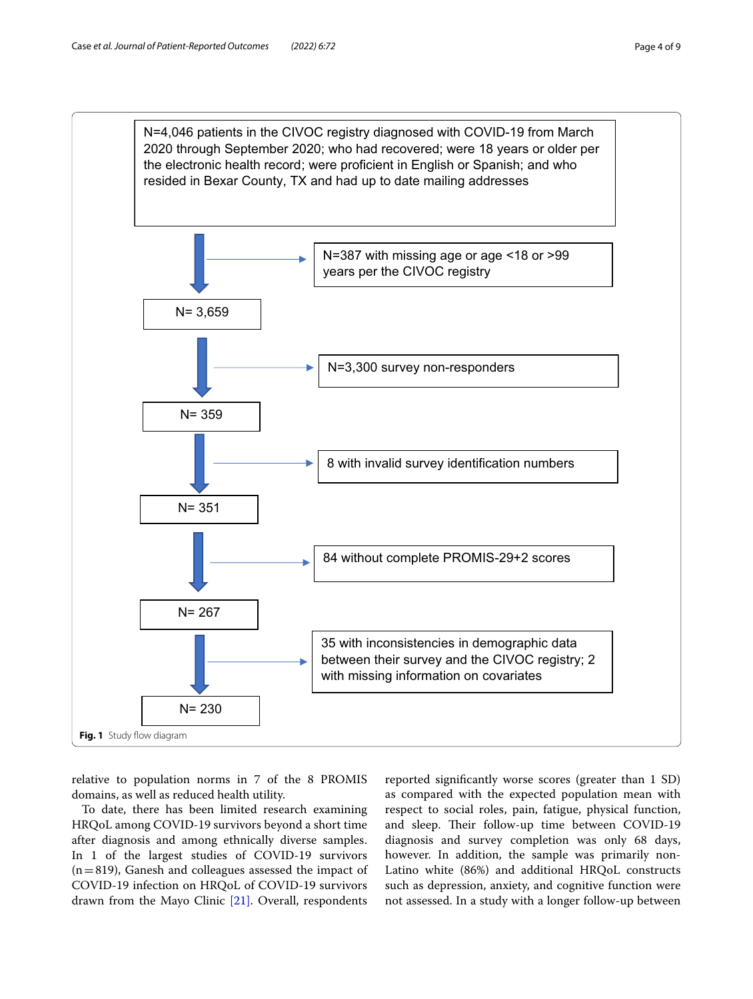

<span id="page-3-0"></span>relative to population norms in 7 of the 8 PROMIS domains, as well as reduced health utility.

To date, there has been limited research examining HRQoL among COVID-19 survivors beyond a short time after diagnosis and among ethnically diverse samples. In 1 of the largest studies of COVID-19 survivors  $(n=819)$ , Ganesh and colleagues assessed the impact of COVID-19 infection on HRQoL of COVID-19 survivors drawn from the Mayo Clinic [\[21\]](#page-8-6). Overall, respondents

reported signifcantly worse scores (greater than 1 SD) as compared with the expected population mean with respect to social roles, pain, fatigue, physical function, and sleep. Their follow-up time between COVID-19 diagnosis and survey completion was only 68 days, however. In addition, the sample was primarily non-Latino white (86%) and additional HRQoL constructs such as depression, anxiety, and cognitive function were not assessed. In a study with a longer follow-up between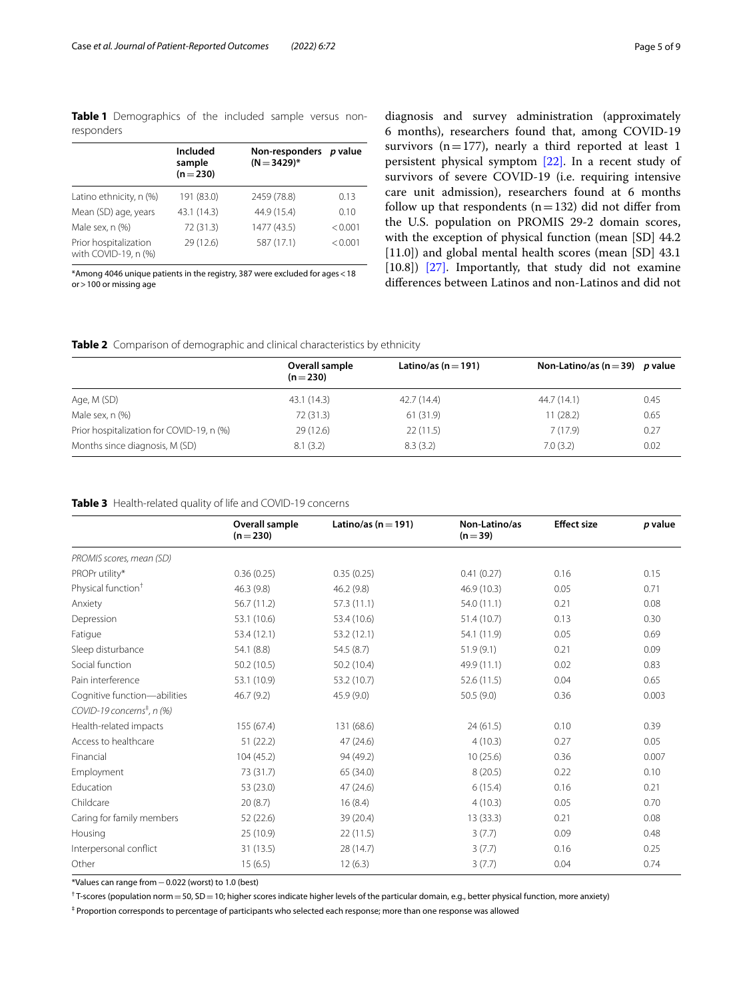<span id="page-4-0"></span>**Table 1** Demographics of the included sample versus nonresponders

|                                               | Included<br>sample | Non-responders p value<br>$(N = 3429)^*$ |         |
|-----------------------------------------------|--------------------|------------------------------------------|---------|
|                                               | $(n=230)$          |                                          |         |
| Latino ethnicity, n (%)                       | 191 (83.0)         | 2459 (78.8)                              | 0.13    |
| Mean (SD) age, years                          | 43.1 (14.3)        | 44.9 (15.4)                              | 0.10    |
| Male sex, n (%)                               | 72 (31.3)          | 1477 (43.5)                              | < 0.001 |
| Prior hospitalization<br>with COVID-19, n (%) | 29 (12.6)          | 587 (17.1)                               | < 0.001 |

\*Among 4046 unique patients in the registry, 387 were excluded for ages<18 or>100 or missing age

diagnosis and survey administration (approximately 6 months), researchers found that, among COVID-19 survivors ( $n=177$ ), nearly a third reported at least 1 persistent physical symptom [\[22\].](#page-8-0) In a recent study of survivors of severe COVID-19 (i.e. requiring intensive care unit admission), researchers found at 6 months follow up that respondents  $(n=132)$  did not differ from the U.S. population on PROMIS 29-2 domain scores, with the exception of physical function (mean [SD] 44.2 [11.0]) and global mental health scores (mean [SD] 43.1 [10.8]) [\[27\].](#page-8-7) Importantly, that study did not examine diferences between Latinos and non-Latinos and did not

<span id="page-4-1"></span>

|  |  | Table 2 Comparison of demographic and clinical characteristics by ethnicity |  |
|--|--|-----------------------------------------------------------------------------|--|
|  |  |                                                                             |  |

|                                           | Overall sample<br>$(n=230)$ | Latino/as (n $=$ 191) | Non-Latino/as (n = 39) p value |      |
|-------------------------------------------|-----------------------------|-----------------------|--------------------------------|------|
| Age, M (SD)                               | 43.1 (14.3)                 | 42.7(14.4)            | 44.7 (14.1)                    | 0.45 |
| Male sex, n (%)                           | 72 (31.3)                   | 61(31.9)              | 11 (28.2)                      | 0.65 |
| Prior hospitalization for COVID-19, n (%) | 29(12.6)                    | 22(11.5)              | 7(17.9)                        | 0.27 |
| Months since diagnosis, M (SD)            | 8.1(3.2)                    | 8.3(3.2)              | 7.0(3.2)                       | 0.02 |

# <span id="page-4-2"></span>**Table 3** Health-related quality of life and COVID-19 concerns

|                                        | Overall sample<br>$(n=230)$ | Latino/as ( $n = 191$ ) | Non-Latino/as<br>$(n=39)$ | <b>Effect size</b> | p value |
|----------------------------------------|-----------------------------|-------------------------|---------------------------|--------------------|---------|
| PROMIS scores, mean (SD)               |                             |                         |                           |                    |         |
| PROPr utility*                         | 0.36(0.25)                  | 0.35(0.25)              | 0.41(0.27)                | 0.16               | 0.15    |
| Physical function <sup>+</sup>         | 46.3 (9.8)                  | 46.2 (9.8)              | 46.9 (10.3)               | 0.05               | 0.71    |
| Anxiety                                | 56.7 (11.2)                 | 57.3 (11.1)             | 54.0 (11.1)               | 0.21               | 0.08    |
| Depression                             | 53.1 (10.6)                 | 53.4 (10.6)             | 51.4(10.7)                | 0.13               | 0.30    |
| Fatigue                                | 53.4 (12.1)                 | 53.2 (12.1)             | 54.1 (11.9)               | 0.05               | 0.69    |
| Sleep disturbance                      | 54.1 (8.8)                  | 54.5(8.7)               | 51.9(9.1)                 | 0.21               | 0.09    |
| Social function                        | 50.2(10.5)                  | 50.2 (10.4)             | 49.9 (11.1)               | 0.02               | 0.83    |
| Pain interference                      | 53.1 (10.9)                 | 53.2 (10.7)             | 52.6(11.5)                | 0.04               | 0.65    |
| Cognitive function-abilities           | 46.7(9.2)                   | 45.9 (9.0)              | 50.5(9.0)                 | 0.36               | 0.003   |
| COVID-19 concerns <sup>‡</sup> , n (%) |                             |                         |                           |                    |         |
| Health-related impacts                 | 155 (67.4)                  | 131 (68.6)              | 24(61.5)                  | 0.10               | 0.39    |
| Access to healthcare                   | 51(22.2)                    | 47 (24.6)               | 4(10.3)                   | 0.27               | 0.05    |
| Financial                              | 104(45.2)                   | 94 (49.2)               | 10(25.6)                  | 0.36               | 0.007   |
| Employment                             | 73 (31.7)                   | 65 (34.0)               | 8(20.5)                   | 0.22               | 0.10    |
| Education                              | 53 (23.0)                   | 47 (24.6)               | 6(15.4)                   | 0.16               | 0.21    |
| Childcare                              | 20(8.7)                     | 16(8.4)                 | 4(10.3)                   | 0.05               | 0.70    |
| Caring for family members              | 52(22.6)                    | 39 (20.4)               | 13(33.3)                  | 0.21               | 0.08    |
| Housing                                | 25 (10.9)                   | 22(11.5)                | 3(7.7)                    | 0.09               | 0.48    |
| Interpersonal conflict                 | 31(13.5)                    | 28 (14.7)               | 3(7.7)                    | 0.16               | 0.25    |
| Other                                  | 15(6.5)                     | 12(6.3)                 | 3(7.7)                    | 0.04               | 0.74    |

\*Values can range from−0.022 (worst) to 1.0 (best)

<sup>†</sup> T-scores (population norm  $=$  50, SD  $=$  10; higher scores indicate higher levels of the particular domain, e.g., better physical function, more anxiety)

‡ Proportion corresponds to percentage of participants who selected each response; more than one response was allowed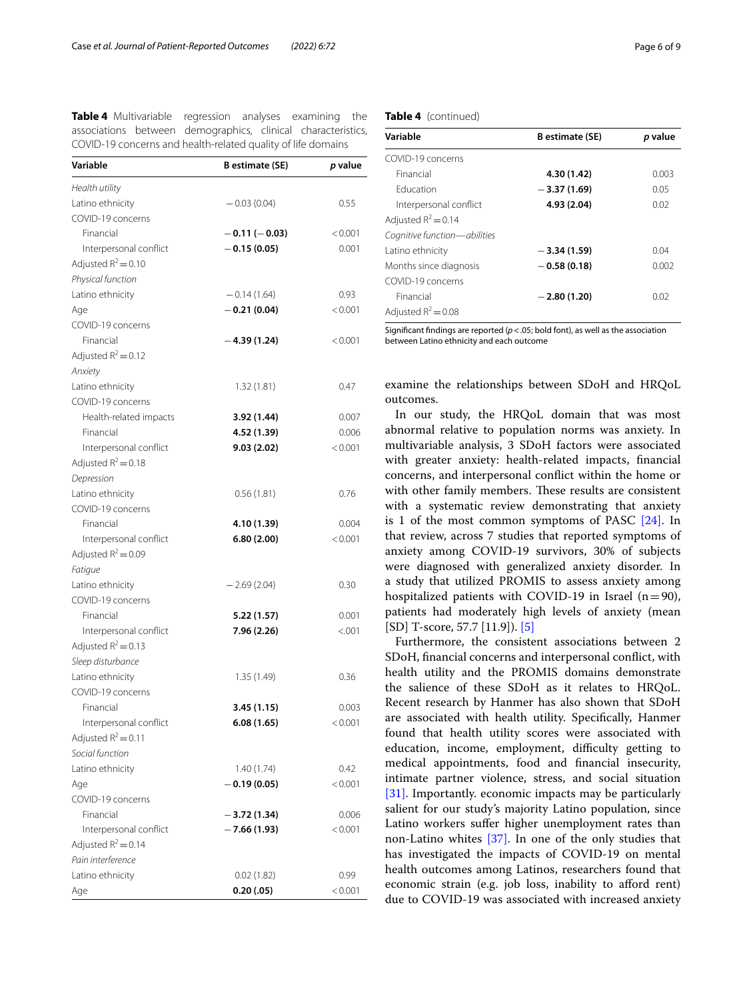<span id="page-5-0"></span>

| <b>Table 4</b> Multivariable regression analyses examining the |  |  |  |
|----------------------------------------------------------------|--|--|--|
| associations between demographics, clinical characteristics,   |  |  |  |
| COVID-19 concerns and health-related quality of life domains   |  |  |  |

| Variable               | <b>B</b> estimate (SE) | p value |
|------------------------|------------------------|---------|
| Health utility         |                        |         |
| Latino ethnicity       | $-0.03(0.04)$          | 0.55    |
| COVID-19 concerns      |                        |         |
| Financial              | $-0.11(-0.03)$         | < 0.001 |
| Interpersonal conflict | $-0.15(0.05)$          | 0.001   |
| Adjusted $R^2 = 0.10$  |                        |         |
| Physical function      |                        |         |
| Latino ethnicity       | $-0.14(1.64)$          | 0.93    |
| Age                    | $-0.21(0.04)$          | < 0.001 |
| COVID-19 concerns      |                        |         |
| Financial              | $-4.39(1.24)$          | < 0.001 |
| Adjusted $R^2$ = 0.12  |                        |         |
| Anxiety                |                        |         |
| Latino ethnicity       | 1.32(1.81)             | 0.47    |
| COVID-19 concerns      |                        |         |
| Health-related impacts | 3.92 (1.44)            | 0.007   |
| Financial              | 4.52 (1.39)            | 0.006   |
| Interpersonal conflict | 9.03(2.02)             | < 0.001 |
| Adjusted $R^2$ = 0.18  |                        |         |
| Depression             |                        |         |
| Latino ethnicity       | 0.56(1.81)             | 0.76    |
| COVID-19 concerns      |                        |         |
| Financial              | 4.10 (1.39)            | 0.004   |
| Interpersonal conflict | 6.80(2.00)             | < 0.001 |
| Adjusted $R^2$ = 0.09  |                        |         |
| Fatigue                |                        |         |
| Latino ethnicity       | $-2.69(2.04)$          | 0.30    |
| COVID-19 concerns      |                        |         |
| Financial              | 5.22 (1.57)            | 0.001   |
| Interpersonal conflict | 7.96 (2.26)            | < 0.001 |
| Adjusted $R^2 = 0.13$  |                        |         |
| Sleep disturbance      |                        |         |
| Latino ethnicity       | 1.35(1.49)             | 0.36    |
| COVID-19 concerns      |                        |         |
| Financial              | 3.45 (1.15)            | 0.003   |
| Interpersonal conflict | 6.08(1.65)             | < 0.001 |
| Adjusted $R^2 = 0.11$  |                        |         |
| Social function        |                        |         |
| Latino ethnicity       | 1.40(1.74)             | 0.42    |
| Age                    | $-0.19(0.05)$          | < 0.001 |
| COVID-19 concerns      |                        |         |
| Financial              | $-3.72(1.34)$          | 0.006   |
| Interpersonal conflict | $-7.66(1.93)$          | < 0.001 |
| Adjusted $R^2$ = 0.14  |                        |         |
| Pain interference      |                        |         |
| Latino ethnicity       | 0.02(1.82)             | 0.99    |
| Age                    | 0.20(0.05)             | < 0.001 |

# **Table 4** (continued)

| Variable                     | <b>B</b> estimate (SE) | p value |
|------------------------------|------------------------|---------|
| COVID-19 concerns            |                        |         |
| Financial                    | 4.30 (1.42)            | 0.003   |
| <b>Education</b>             | $-3.37(1.69)$          | 0.05    |
| Interpersonal conflict       | 4.93 (2.04)            | 0.02    |
| Adjusted $R^2$ = 0.14        |                        |         |
| Cognitive function-abilities |                        |         |
| Latino ethnicity             | $-3.34(1.59)$          | 0.04    |
| Months since diagnosis       | $-0.58(0.18)$          | 0.002   |
| COVID-19 concerns            |                        |         |
| Financial                    | $-2.80(1.20)$          | 0.02    |
| Adjusted $R^2$ = 0.08        |                        |         |
|                              |                        |         |

Significant findings are reported ( $p$  < .05; bold font), as well as the association between Latino ethnicity and each outcome

examine the relationships between SDoH and HRQoL outcomes.

In our study, the HRQoL domain that was most abnormal relative to population norms was anxiety. In multivariable analysis, 3 SDoH factors were associated with greater anxiety: health-related impacts, fnancial concerns, and interpersonal confict within the home or with other family members. These results are consistent with a systematic review demonstrating that anxiety is 1 of the most common symptoms of PASC  $[24]$ . In that review, across 7 studies that reported symptoms of anxiety among COVID-19 survivors, 30% of subjects were diagnosed with generalized anxiety disorder. In a study that utilized PROMIS to assess anxiety among hospitalized patients with COVID-19 in Israel  $(n=90)$ , patients had moderately high levels of anxiety (mean [SD] T-score, 57.7 [11.9]). [\[5\]](#page-7-3)

Furthermore, the consistent associations between 2 SDoH, fnancial concerns and interpersonal confict, with health utility and the PROMIS domains demonstrate the salience of these SDoH as it relates to HRQoL. Recent research by Hanmer has also shown that SDoH are associated with health utility. Specifcally, Hanmer found that health utility scores were associated with education, income, employment, difficulty getting to medical appointments, food and fnancial insecurity, intimate partner violence, stress, and social situation [\[31\].](#page-8-12) Importantly. economic impacts may be particularly salient for our study's majority Latino population, since Latino workers suffer higher unemployment rates than non-Latino whites [\[37\].](#page-8-19) In one of the only studies that has investigated the impacts of COVID-19 on mental health outcomes among Latinos, researchers found that economic strain (e.g. job loss, inability to afford rent) due to COVID-19 was associated with increased anxiety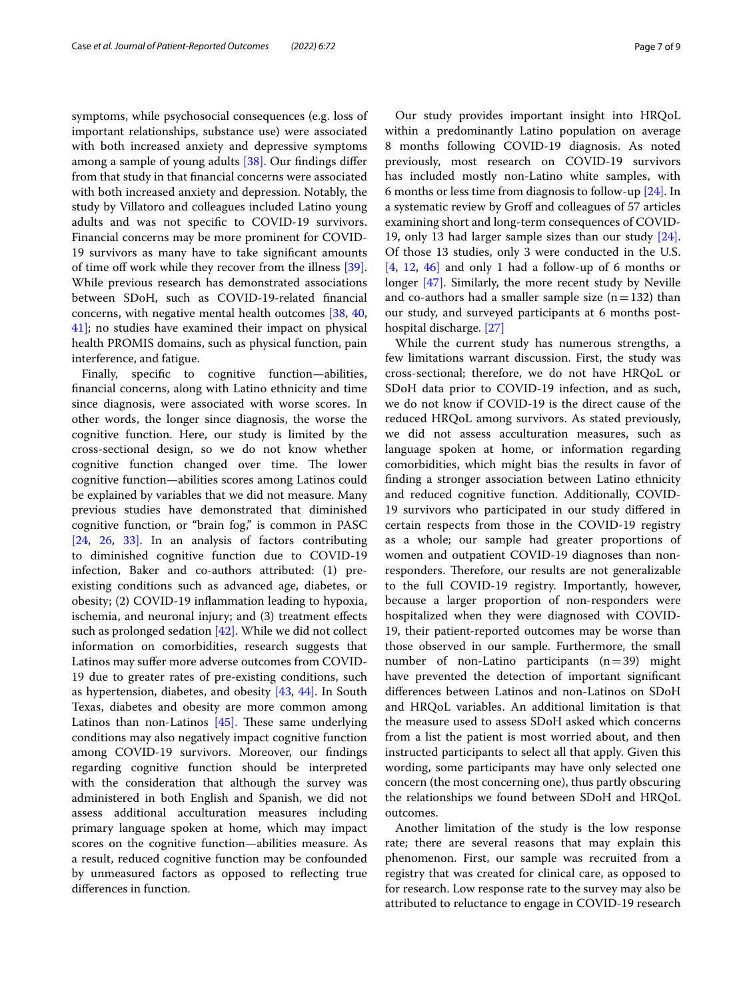symptoms, while psychosocial consequences (e.g. loss of important relationships, substance use) were associated with both increased anxiety and depressive symptoms among a sample of young adults [\[38\].](#page-8-20) Our fndings difer from that study in that fnancial concerns were associated with both increased anxiety and depression. Notably, the study by Villatoro and colleagues included Latino young adults and was not specifc to COVID-19 survivors. Financial concerns may be more prominent for COVID-19 survivors as many have to take signifcant amounts of time of work while they recover from the illness [\[39\]](#page-8-21). While previous research has demonstrated associations between SDoH, such as COVID-19-related fnancial concerns, with negative mental health outcomes [\[38](#page-8-20), [40](#page-8-22), [41\];](#page-8-23) no studies have examined their impact on physical health PROMIS domains, such as physical function, pain interference, and fatigue.

Finally, specifc to cognitive function—abilities, fnancial concerns, along with Latino ethnicity and time since diagnosis, were associated with worse scores. In other words, the longer since diagnosis, the worse the cognitive function. Here, our study is limited by the cross-sectional design, so we do not know whether cognitive function changed over time. The lower cognitive function—abilities scores among Latinos could be explained by variables that we did not measure. Many previous studies have demonstrated that diminished cognitive function, or "brain fog," is common in PASC [\[24,](#page-8-18) [26,](#page-8-11) [33\].](#page-8-14) In an analysis of factors contributing to diminished cognitive function due to COVID-19 infection, Baker and co-authors attributed: (1) preexisting conditions such as advanced age, diabetes, or obesity; (2) COVID-19 infammation leading to hypoxia, ischemia, and neuronal injury; and (3) treatment efects such as prolonged sedation  $[42]$ . While we did not collect information on comorbidities, research suggests that Latinos may sufer more adverse outcomes from COVID-19 due to greater rates of pre-existing conditions, such as hypertension, diabetes, and obesity [\[43,](#page-8-25) [44\].](#page-8-26) In South Texas, diabetes and obesity are more common among Latinos than non-Latinos  $[45]$ . These same underlying conditions may also negatively impact cognitive function among COVID-19 survivors. Moreover, our fndings regarding cognitive function should be interpreted with the consideration that although the survey was administered in both English and Spanish, we did not assess additional acculturation measures including primary language spoken at home, which may impact scores on the cognitive function—abilities measure. As a result, reduced cognitive function may be confounded by unmeasured factors as opposed to refecting true diferences in function.

Our study provides important insight into HRQoL within a predominantly Latino population on average 8 months following COVID-19 diagnosis. As noted previously, most research on COVID-19 survivors has included mostly non-Latino white samples, with 6 months or less time from diagnosis to follow-up [\[24\]](#page-8-18). In a systematic review by Groff and colleagues of 57 articles examining short and long-term consequences of COVID-19, only 13 had larger sample sizes than our study [\[24\]](#page-8-18). Of those 13 studies, only 3 were conducted in the U.S.  $[4, 12, 46]$  $[4, 12, 46]$  $[4, 12, 46]$  $[4, 12, 46]$  $[4, 12, 46]$  and only 1 had a follow-up of 6 months or longer [\[47\].](#page-8-30) Similarly, the more recent study by Neville and co-authors had a smaller sample size  $(n=132)$  than our study, and surveyed participants at 6 months posthospital discharge. [\[27\]](#page-8-7)

While the current study has numerous strengths, a few limitations warrant discussion. First, the study was cross-sectional; therefore, we do not have HRQoL or SDoH data prior to COVID-19 infection, and as such, we do not know if COVID-19 is the direct cause of the reduced HRQoL among survivors. As stated previously, we did not assess acculturation measures, such as language spoken at home, or information regarding comorbidities, which might bias the results in favor of fnding a stronger association between Latino ethnicity and reduced cognitive function. Additionally, COVID-19 survivors who participated in our study difered in certain respects from those in the COVID-19 registry as a whole; our sample had greater proportions of women and outpatient COVID-19 diagnoses than nonresponders. Therefore, our results are not generalizable to the full COVID-19 registry. Importantly, however, because a larger proportion of non-responders were hospitalized when they were diagnosed with COVID-19, their patient-reported outcomes may be worse than those observed in our sample. Furthermore, the small number of non-Latino participants  $(n=39)$  might have prevented the detection of important signifcant diferences between Latinos and non-Latinos on SDoH and HRQoL variables. An additional limitation is that the measure used to assess SDoH asked which concerns from a list the patient is most worried about, and then instructed participants to select all that apply. Given this wording, some participants may have only selected one concern (the most concerning one), thus partly obscuring the relationships we found between SDoH and HRQoL outcomes.

Another limitation of the study is the low response rate; there are several reasons that may explain this phenomenon. First, our sample was recruited from a registry that was created for clinical care, as opposed to for research. Low response rate to the survey may also be attributed to reluctance to engage in COVID-19 research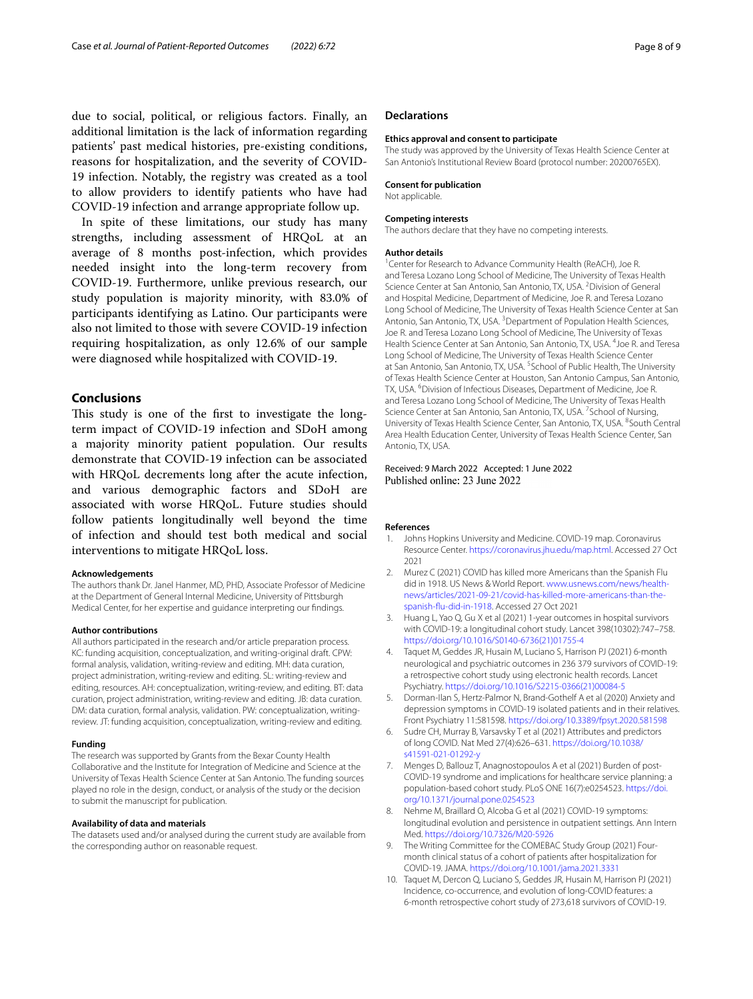due to social, political, or religious factors. Finally, an additional limitation is the lack of information regarding patients' past medical histories, pre-existing conditions, reasons for hospitalization, and the severity of COVID-19 infection. Notably, the registry was created as a tool to allow providers to identify patients who have had COVID-19 infection and arrange appropriate follow up.

In spite of these limitations, our study has many strengths, including assessment of HRQoL at an average of 8 months post-infection, which provides needed insight into the long-term recovery from COVID-19. Furthermore, unlike previous research, our study population is majority minority, with 83.0% of participants identifying as Latino. Our participants were also not limited to those with severe COVID-19 infection requiring hospitalization, as only 12.6% of our sample were diagnosed while hospitalized with COVID-19.

# **Conclusions**

This study is one of the first to investigate the longterm impact of COVID-19 infection and SDoH among a majority minority patient population. Our results demonstrate that COVID-19 infection can be associated with HRQoL decrements long after the acute infection, and various demographic factors and SDoH are associated with worse HRQoL. Future studies should follow patients longitudinally well beyond the time of infection and should test both medical and social interventions to mitigate HRQoL loss.

#### **Acknowledgements**

The authors thank Dr. Janel Hanmer, MD, PHD, Associate Professor of Medicine at the Department of General Internal Medicine, University of Pittsburgh Medical Center, for her expertise and guidance interpreting our fndings.

#### **Author contributions**

All authors participated in the research and/or article preparation process. KC: funding acquisition, conceptualization, and writing-original draft. CPW: formal analysis, validation, writing-review and editing. MH: data curation, project administration, writing-review and editing. SL: writing-review and editing, resources. AH: conceptualization, writing-review, and editing. BT: data curation, project administration, writing-review and editing. JB: data curation. DM: data curation, formal analysis, validation. PW: conceptualization, writingreview. JT: funding acquisition, conceptualization, writing-review and editing.

#### **Funding**

The research was supported by Grants from the Bexar County Health Collaborative and the Institute for Integration of Medicine and Science at the University of Texas Health Science Center at San Antonio. The funding sources played no role in the design, conduct, or analysis of the study or the decision to submit the manuscript for publication.

#### **Availability of data and materials**

The datasets used and/or analysed during the current study are available from the corresponding author on reasonable request.

### **Declarations**

#### **Ethics approval and consent to participate**

The study was approved by the University of Texas Health Science Center at San Antonio's Institutional Review Board (protocol number: 20200765EX).

#### **Consent for publication**

Not applicable.

#### **Competing interests**

The authors declare that they have no competing interests.

#### **Author details**

<sup>1</sup> Center for Research to Advance Community Health (ReACH), Joe R. and Teresa Lozano Long School of Medicine, The University of Texas Health Science Center at San Antonio, San Antonio, TX, USA. <sup>2</sup> Division of General and Hospital Medicine, Department of Medicine, Joe R. and Teresa Lozano Long School of Medicine, The University of Texas Health Science Center at San Antonio, San Antonio, TX, USA.<sup>3</sup> Department of Population Health Sciences, Joe R. and Teresa Lozano Long School of Medicine, The University of Texas Health Science Center at San Antonio, San Antonio, TX, USA. <sup>4</sup> Joe R. and Teresa Long School of Medicine, The University of Texas Health Science Center at San Antonio, San Antonio, TX, USA. <sup>5</sup>School of Public Health, The University of Texas Health Science Center at Houston, San Antonio Campus, San Antonio, TX, USA. <sup>6</sup> Division of Infectious Diseases, Department of Medicine, Joe R. and Teresa Lozano Long School of Medicine, The University of Texas Health Science Center at San Antonio, San Antonio, TX, USA. <sup>7</sup>School of Nursing, University of Texas Health Science Center, San Antonio, TX, USA. <sup>8</sup>South Central Area Health Education Center, University of Texas Health Science Center, San Antonio, TX, USA.

## Received: 9 March 2022 Accepted: 1 June 2022 Published online: 23 June 2022

#### **References**

- <span id="page-7-0"></span>Johns Hopkins University and Medicine. COVID-19 map. Coronavirus Resource Center. [https://coronavirus.jhu.edu/map.html.](https://coronavirus.jhu.edu/map.html) Accessed 27 Oct 2021
- <span id="page-7-1"></span>2. Murez C (2021) COVID has killed more Americans than the Spanish Flu did in 1918. US News & World Report. [www.usnews.com/news/health](http://www.usnews.com/news/health-news/articles/2021-09-21/covid-has-killed-more-americans-than-the-spanish-flu-did-in-1918) [news/articles/2021-09-21/covid-has-killed-more-americans-than-the](http://www.usnews.com/news/health-news/articles/2021-09-21/covid-has-killed-more-americans-than-the-spanish-flu-did-in-1918) [spanish-fu-did-in-1918](http://www.usnews.com/news/health-news/articles/2021-09-21/covid-has-killed-more-americans-than-the-spanish-flu-did-in-1918). Accessed 27 Oct 2021
- <span id="page-7-2"></span>3. Huang L, Yao Q, Gu X et al (2021) 1-year outcomes in hospital survivors with COVID-19: a longitudinal cohort study. Lancet 398(10302):747–758. [https://doi.org/10.1016/S0140-6736\(21\)01755-4](https://doi.org/10.1016/S0140-6736(21)01755-4)
- <span id="page-7-4"></span>Taquet M, Geddes JR, Husain M, Luciano S, Harrison PJ (2021) 6-month neurological and psychiatric outcomes in 236 379 survivors of COVID-19: a retrospective cohort study using electronic health records. Lancet Psychiatry. [https://doi.org/10.1016/S2215-0366\(21\)00084-5](https://doi.org/10.1016/S2215-0366(21)00084-5)
- <span id="page-7-3"></span>5. Dorman-Ilan S, Hertz-Palmor N, Brand-Gothelf A et al (2020) Anxiety and depression symptoms in COVID-19 isolated patients and in their relatives. Front Psychiatry 11:581598.<https://doi.org/10.3389/fpsyt.2020.581598>
- Sudre CH, Murray B, Varsavsky T et al (2021) Attributes and predictors of long COVID. Nat Med 27(4):626–631. [https://doi.org/10.1038/](https://doi.org/10.1038/s41591-021-01292-y) [s41591-021-01292-y](https://doi.org/10.1038/s41591-021-01292-y)
- 7. Menges D, Ballouz T, Anagnostopoulos A et al (2021) Burden of post-COVID-19 syndrome and implications for healthcare service planning: a population-based cohort study. PLoS ONE 16(7):e0254523. [https://doi.](https://doi.org/10.1371/journal.pone.0254523) [org/10.1371/journal.pone.0254523](https://doi.org/10.1371/journal.pone.0254523)
- 8. Nehme M, Braillard O, Alcoba G et al (2021) COVID-19 symptoms: longitudinal evolution and persistence in outpatient settings. Ann Intern Med.<https://doi.org/10.7326/M20-5926>
- 9. The Writing Committee for the COMEBAC Study Group (2021) Fourmonth clinical status of a cohort of patients after hospitalization for COVID-19. JAMA. <https://doi.org/10.1001/jama.2021.3331>
- 10. Taquet M, Dercon Q, Luciano S, Geddes JR, Husain M, Harrison PJ (2021) Incidence, co-occurrence, and evolution of long-COVID features: a 6-month retrospective cohort study of 273,618 survivors of COVID-19.